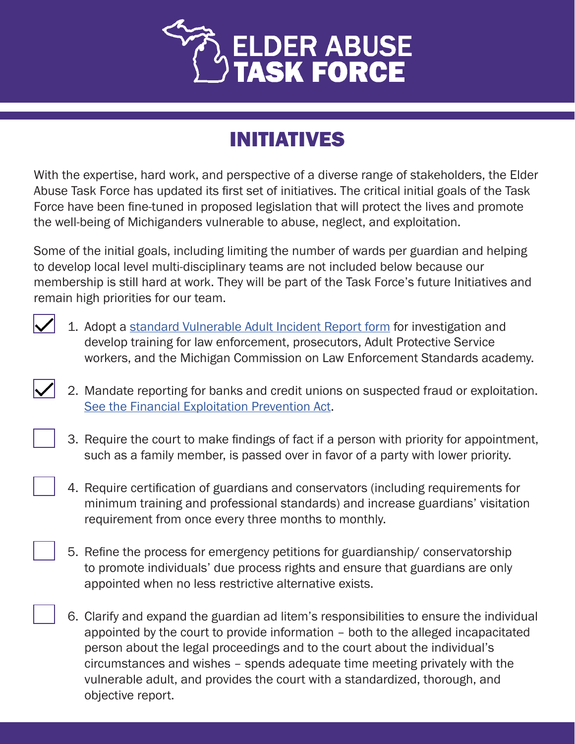

## INITIATIVES

With the expertise, hard work, and perspective of a diverse range of stakeholders, the Elder Abuse Task Force has updated its first set of initiatives. The critical initial goals of the Task Force have been fine-tuned in proposed legislation that will protect the lives and promote the well-being of Michiganders vulnerable to abuse, neglect, and exploitation.

Some of the initial goals, including limiting the number of wards per guardian and helping to develop local level multi-disciplinary teams are not included below because our membership is still hard at work. They will be part of the Task Force's future Initiatives and remain high priorities for our team.



- 1. Adopt a [standard Vulnerable Adult Incident Report form](https://www.michigan.gov/documents/ag/Vulnerable_Adult_Incident_Report_2019_665624_7.pdf) for investigation and develop training for law enforcement, prosecutors, Adult Protective Service workers, and the Michigan Commission on Law Enforcement Standards academy.
- 2. Mandate reporting for banks and credit unions on suspected fraud or exploitation. [See the Financial Exploitation Prevention Act](https://www.legislature.mi.gov/documents/2019-2020/publicact/pdf/2020-PA-0344.pdf).
	- 3. Require the court to make findings of fact if a person with priority for appointment, such as a family member, is passed over in favor of a party with lower priority.
	- 4. Require certification of guardians and conservators (including requirements for minimum training and professional standards) and increase guardians' visitation requirement from once every three months to monthly.
	- 5. Refine the process for emergency petitions for guardianship/ conservatorship to promote individuals' due process rights and ensure that guardians are only appointed when no less restrictive alternative exists.
	- 6. Clarify and expand the guardian ad litem's responsibilities to ensure the individual appointed by the court to provide information – both to the alleged incapacitated person about the legal proceedings and to the court about the individual's circumstances and wishes – spends adequate time meeting privately with the vulnerable adult, and provides the court with a standardized, thorough, and objective report.